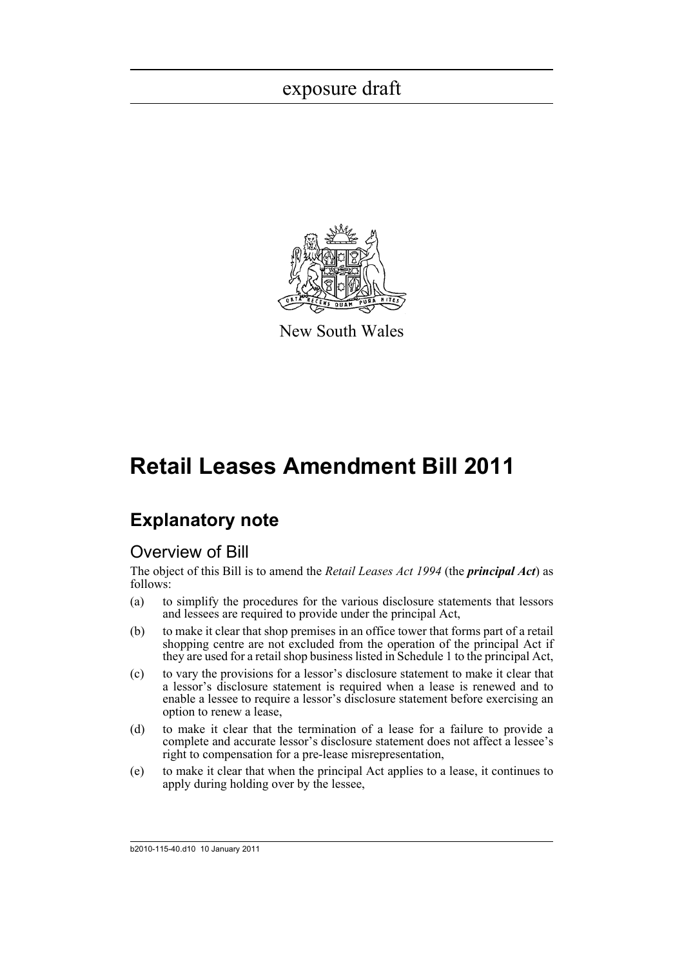

New South Wales

# **Retail Leases Amendment Bill 2011**

### **Explanatory note**

### Overview of Bill

The object of this Bill is to amend the *Retail Leases Act 1994* (the *principal Act*) as follows:

- (a) to simplify the procedures for the various disclosure statements that lessors and lessees are required to provide under the principal Act,
- (b) to make it clear that shop premises in an office tower that forms part of a retail shopping centre are not excluded from the operation of the principal Act if they are used for a retail shop business listed in Schedule 1 to the principal Act,
- (c) to vary the provisions for a lessor's disclosure statement to make it clear that a lessor's disclosure statement is required when a lease is renewed and to enable a lessee to require a lessor's disclosure statement before exercising an option to renew a lease,
- (d) to make it clear that the termination of a lease for a failure to provide a complete and accurate lessor's disclosure statement does not affect a lessee's right to compensation for a pre-lease misrepresentation,
- (e) to make it clear that when the principal Act applies to a lease, it continues to apply during holding over by the lessee,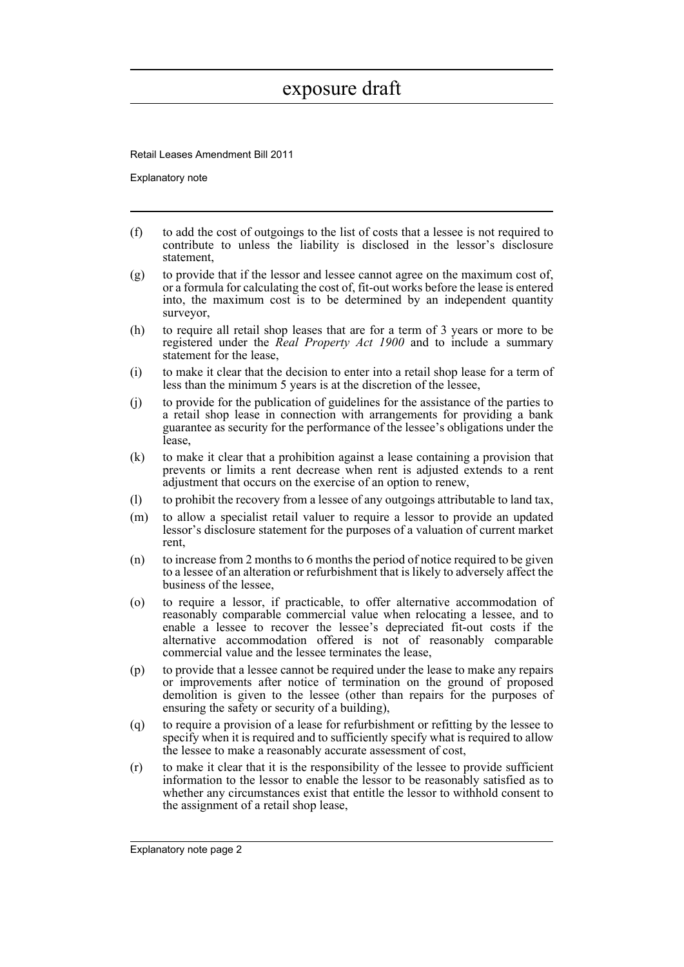Retail Leases Amendment Bill 2011

Explanatory note

- (f) to add the cost of outgoings to the list of costs that a lessee is not required to contribute to unless the liability is disclosed in the lessor's disclosure statement,
- (g) to provide that if the lessor and lessee cannot agree on the maximum cost of, or a formula for calculating the cost of, fit-out works before the lease is entered into, the maximum cost is to be determined by an independent quantity surveyor,
- (h) to require all retail shop leases that are for a term of 3 years or more to be registered under the *Real Property Act 1900* and to include a summary statement for the lease,
- (i) to make it clear that the decision to enter into a retail shop lease for a term of less than the minimum 5 years is at the discretion of the lessee,
- (j) to provide for the publication of guidelines for the assistance of the parties to a retail shop lease in connection with arrangements for providing a bank guarantee as security for the performance of the lessee's obligations under the lease,
- (k) to make it clear that a prohibition against a lease containing a provision that prevents or limits a rent decrease when rent is adjusted extends to a rent adjustment that occurs on the exercise of an option to renew,
- (l) to prohibit the recovery from a lessee of any outgoings attributable to land tax,
- (m) to allow a specialist retail valuer to require a lessor to provide an updated lessor's disclosure statement for the purposes of a valuation of current market rent,
- (n) to increase from 2 months to 6 months the period of notice required to be given to a lessee of an alteration or refurbishment that is likely to adversely affect the business of the lessee,
- (o) to require a lessor, if practicable, to offer alternative accommodation of reasonably comparable commercial value when relocating a lessee, and to enable a lessee to recover the lessee's depreciated fit-out costs if the alternative accommodation offered is not of reasonably comparable commercial value and the lessee terminates the lease,
- (p) to provide that a lessee cannot be required under the lease to make any repairs or improvements after notice of termination on the ground of proposed demolition is given to the lessee (other than repairs for the purposes of ensuring the safety or security of a building),
- (q) to require a provision of a lease for refurbishment or refitting by the lessee to specify when it is required and to sufficiently specify what is required to allow the lessee to make a reasonably accurate assessment of cost,
- (r) to make it clear that it is the responsibility of the lessee to provide sufficient information to the lessor to enable the lessor to be reasonably satisfied as to whether any circumstances exist that entitle the lessor to withhold consent to the assignment of a retail shop lease,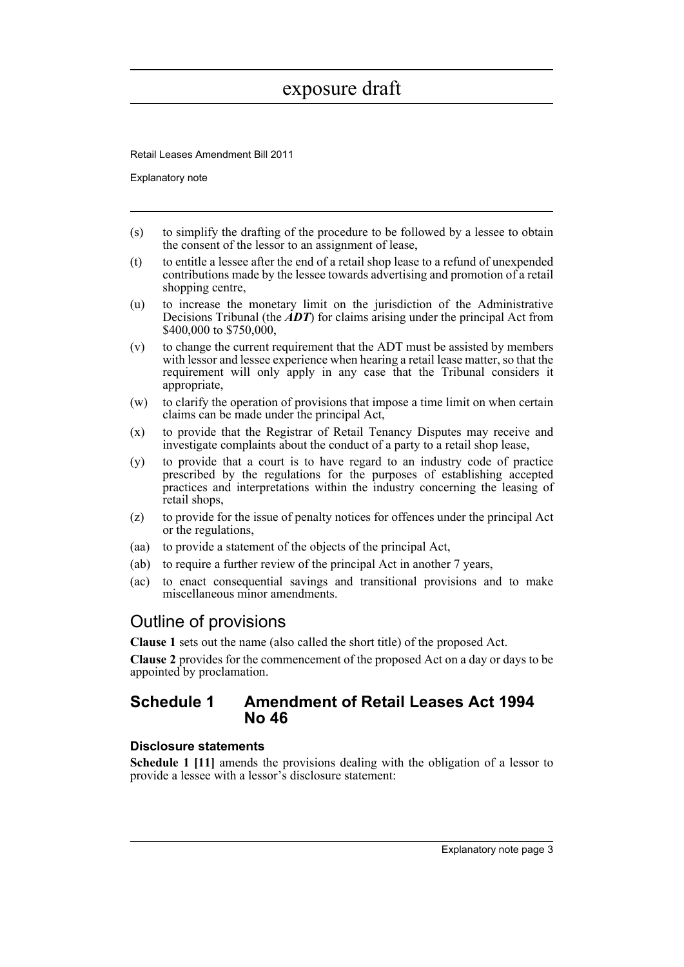Retail Leases Amendment Bill 2011

Explanatory note

- (s) to simplify the drafting of the procedure to be followed by a lessee to obtain the consent of the lessor to an assignment of lease,
- (t) to entitle a lessee after the end of a retail shop lease to a refund of unexpended contributions made by the lessee towards advertising and promotion of a retail shopping centre,
- (u) to increase the monetary limit on the jurisdiction of the Administrative Decisions Tribunal (the  $\angle ADT$ ) for claims arising under the principal Act from \$400,000 to \$750,000,
- (v) to change the current requirement that the ADT must be assisted by members with lessor and lessee experience when hearing a retail lease matter, so that the requirement will only apply in any case that the Tribunal considers it appropriate,
- (w) to clarify the operation of provisions that impose a time limit on when certain claims can be made under the principal Act,
- (x) to provide that the Registrar of Retail Tenancy Disputes may receive and investigate complaints about the conduct of a party to a retail shop lease,
- (y) to provide that a court is to have regard to an industry code of practice prescribed by the regulations for the purposes of establishing accepted practices and interpretations within the industry concerning the leasing of retail shops,
- (z) to provide for the issue of penalty notices for offences under the principal Act or the regulations,
- (aa) to provide a statement of the objects of the principal Act,
- (ab) to require a further review of the principal Act in another 7 years,
- (ac) to enact consequential savings and transitional provisions and to make miscellaneous minor amendments.

### Outline of provisions

**Clause 1** sets out the name (also called the short title) of the proposed Act.

**Clause 2** provides for the commencement of the proposed Act on a day or days to be appointed by proclamation.

#### **Schedule 1 Amendment of Retail Leases Act 1994 No 46**

#### **Disclosure statements**

**Schedule 1 [11]** amends the provisions dealing with the obligation of a lessor to provide a lessee with a lessor's disclosure statement: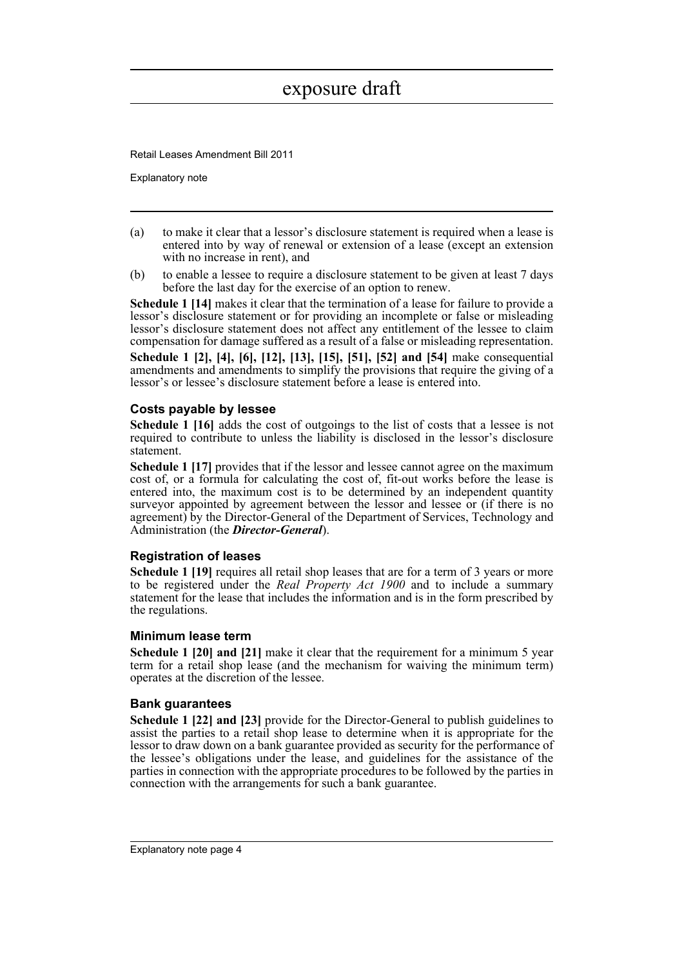Retail Leases Amendment Bill 2011

Explanatory note

- (a) to make it clear that a lessor's disclosure statement is required when a lease is entered into by way of renewal or extension of a lease (except an extension with no increase in rent), and
- (b) to enable a lessee to require a disclosure statement to be given at least 7 days before the last day for the exercise of an option to renew.

**Schedule 1 [14]** makes it clear that the termination of a lease for failure to provide a lessor's disclosure statement or for providing an incomplete or false or misleading lessor's disclosure statement does not affect any entitlement of the lessee to claim compensation for damage suffered as a result of a false or misleading representation.

**Schedule 1 [2], [4], [6], [12], [13], [15], [51], [52] and [54]** make consequential amendments and amendments to simplify the provisions that require the giving of a lessor's or lessee's disclosure statement before a lease is entered into.

#### **Costs payable by lessee**

**Schedule 1 [16]** adds the cost of outgoings to the list of costs that a lessee is not required to contribute to unless the liability is disclosed in the lessor's disclosure statement.

**Schedule 1 [17]** provides that if the lessor and lessee cannot agree on the maximum cost of, or a formula for calculating the cost of, fit-out works before the lease is entered into, the maximum cost is to be determined by an independent quantity surveyor appointed by agreement between the lessor and lessee or (if there is no agreement) by the Director-General of the Department of Services, Technology and Administration (the *Director-General*).

#### **Registration of leases**

**Schedule 1 [19]** requires all retail shop leases that are for a term of 3 years or more to be registered under the *Real Property Act 1900* and to include a summary statement for the lease that includes the information and is in the form prescribed by the regulations.

#### **Minimum lease term**

**Schedule 1 [20] and [21]** make it clear that the requirement for a minimum 5 year term for a retail shop lease (and the mechanism for waiving the minimum term) operates at the discretion of the lessee.

#### **Bank guarantees**

**Schedule 1 [22] and [23]** provide for the Director-General to publish guidelines to assist the parties to a retail shop lease to determine when it is appropriate for the lessor to draw down on a bank guarantee provided as security for the performance of the lessee's obligations under the lease, and guidelines for the assistance of the parties in connection with the appropriate procedures to be followed by the parties in connection with the arrangements for such a bank guarantee.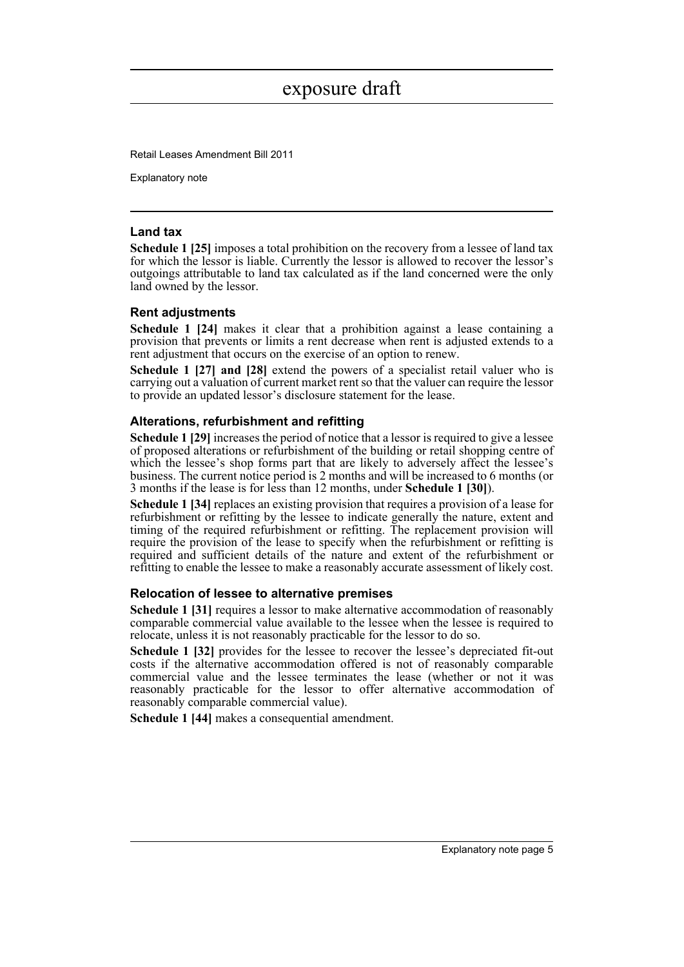Retail Leases Amendment Bill 2011

Explanatory note

#### **Land tax**

**Schedule 1 [25]** imposes a total prohibition on the recovery from a lessee of land tax for which the lessor is liable. Currently the lessor is allowed to recover the lessor's outgoings attributable to land tax calculated as if the land concerned were the only land owned by the lessor.

#### **Rent adjustments**

**Schedule 1 [24]** makes it clear that a prohibition against a lease containing a provision that prevents or limits a rent decrease when rent is adjusted extends to a rent adjustment that occurs on the exercise of an option to renew.

**Schedule 1 [27] and [28]** extend the powers of a specialist retail valuer who is carrying out a valuation of current market rent so that the valuer can require the lessor to provide an updated lessor's disclosure statement for the lease.

#### **Alterations, refurbishment and refitting**

**Schedule 1 [29]** increases the period of notice that a lessor is required to give a lessee of proposed alterations or refurbishment of the building or retail shopping centre of which the lessee's shop forms part that are likely to adversely affect the lessee's business. The current notice period is 2 months and will be increased to 6 months (or 3 months if the lease is for less than 12 months, under **Schedule 1 [30]**).

**Schedule 1 [34]** replaces an existing provision that requires a provision of a lease for refurbishment or refitting by the lessee to indicate generally the nature, extent and timing of the required refurbishment or refitting. The replacement provision will require the provision of the lease to specify when the refurbishment or refitting is required and sufficient details of the nature and extent of the refurbishment or refitting to enable the lessee to make a reasonably accurate assessment of likely cost.

#### **Relocation of lessee to alternative premises**

**Schedule 1 [31]** requires a lessor to make alternative accommodation of reasonably comparable commercial value available to the lessee when the lessee is required to relocate, unless it is not reasonably practicable for the lessor to do so.

**Schedule 1 [32]** provides for the lessee to recover the lessee's depreciated fit-out costs if the alternative accommodation offered is not of reasonably comparable commercial value and the lessee terminates the lease (whether or not it was reasonably practicable for the lessor to offer alternative accommodation of reasonably comparable commercial value).

**Schedule 1 [44]** makes a consequential amendment.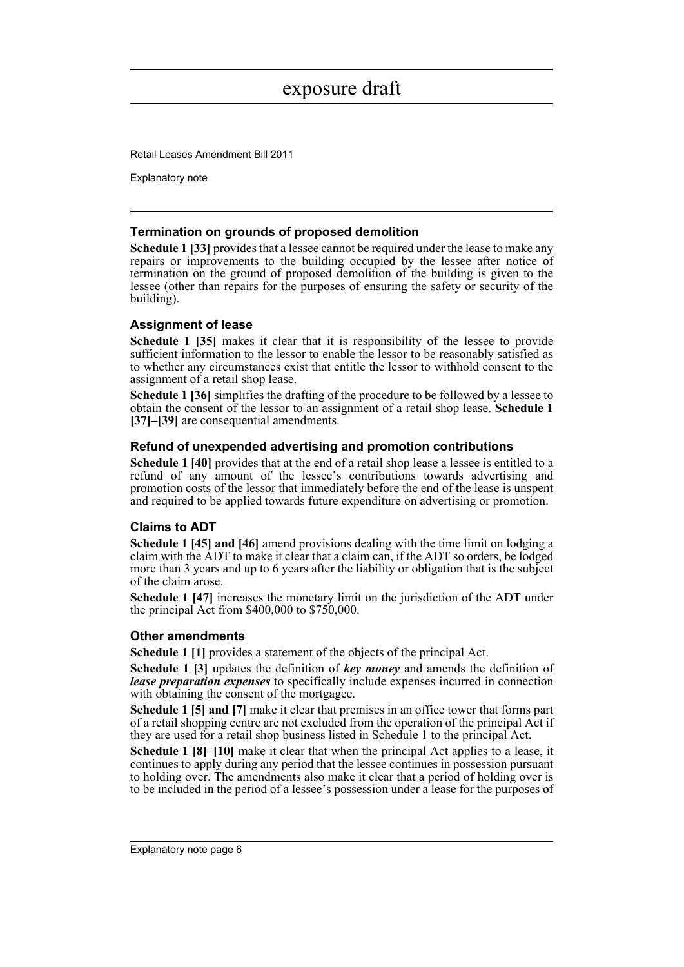Retail Leases Amendment Bill 2011

Explanatory note

#### **Termination on grounds of proposed demolition**

**Schedule 1 [33]** provides that a lessee cannot be required under the lease to make any repairs or improvements to the building occupied by the lessee after notice of termination on the ground of proposed demolition of the building is given to the lessee (other than repairs for the purposes of ensuring the safety or security of the building).

#### **Assignment of lease**

**Schedule 1 [35]** makes it clear that it is responsibility of the lessee to provide sufficient information to the lessor to enable the lessor to be reasonably satisfied as to whether any circumstances exist that entitle the lessor to withhold consent to the assignment of a retail shop lease.

**Schedule 1 [36]** simplifies the drafting of the procedure to be followed by a lessee to obtain the consent of the lessor to an assignment of a retail shop lease. **Schedule 1 [37]–[39]** are consequential amendments.

#### **Refund of unexpended advertising and promotion contributions**

**Schedule 1 [40]** provides that at the end of a retail shop lease a lessee is entitled to a refund of any amount of the lessee's contributions towards advertising and promotion costs of the lessor that immediately before the end of the lease is unspent and required to be applied towards future expenditure on advertising or promotion.

#### **Claims to ADT**

**Schedule 1 [45] and [46]** amend provisions dealing with the time limit on lodging a claim with the ADT to make it clear that a claim can, if the ADT so orders, be lodged more than 3 years and up to 6 years after the liability or obligation that is the subject of the claim arose.

**Schedule 1 [47]** increases the monetary limit on the jurisdiction of the ADT under the principal Act from \$400,000 to \$750,000.

#### **Other amendments**

**Schedule 1 [1]** provides a statement of the objects of the principal Act.

**Schedule 1 [3]** updates the definition of *key money* and amends the definition of *lease preparation expenses* to specifically include expenses incurred in connection with obtaining the consent of the mortgagee.

**Schedule 1 [5] and [7]** make it clear that premises in an office tower that forms part of a retail shopping centre are not excluded from the operation of the principal Act if they are used for a retail shop business listed in Schedule 1 to the principal Act.

**Schedule 1 [8]–[10]** make it clear that when the principal Act applies to a lease, it continues to apply during any period that the lessee continues in possession pursuant to holding over. The amendments also make it clear that a period of holding over is to be included in the period of a lessee's possession under a lease for the purposes of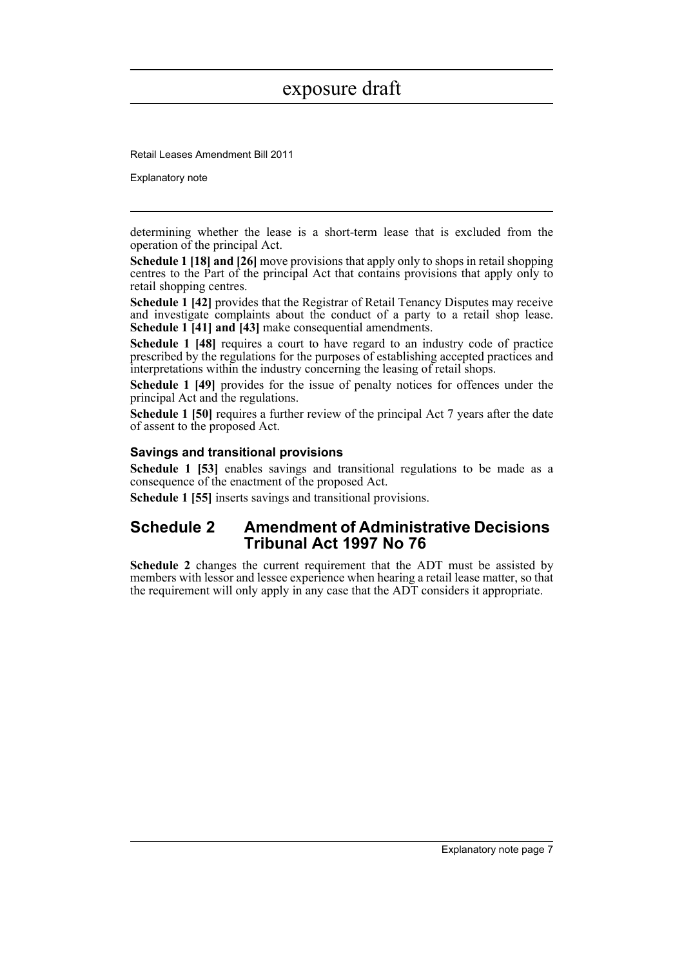Retail Leases Amendment Bill 2011

Explanatory note

determining whether the lease is a short-term lease that is excluded from the operation of the principal Act.

**Schedule 1 [18] and [26]** move provisions that apply only to shops in retail shopping centres to the Part of the principal Act that contains provisions that apply only to retail shopping centres.

**Schedule 1 [42]** provides that the Registrar of Retail Tenancy Disputes may receive and investigate complaints about the conduct of a party to a retail shop lease. **Schedule 1 [41] and [43]** make consequential amendments.

**Schedule 1 [48]** requires a court to have regard to an industry code of practice prescribed by the regulations for the purposes of establishing accepted practices and interpretations within the industry concerning the leasing of retail shops.

**Schedule 1 [49]** provides for the issue of penalty notices for offences under the principal Act and the regulations.

**Schedule 1 [50]** requires a further review of the principal Act 7 years after the date of assent to the proposed Act.

#### **Savings and transitional provisions**

**Schedule 1 [53]** enables savings and transitional regulations to be made as a consequence of the enactment of the proposed Act.

**Schedule 1 [55]** inserts savings and transitional provisions.

### **Schedule 2 Amendment of Administrative Decisions Tribunal Act 1997 No 76**

**Schedule 2** changes the current requirement that the ADT must be assisted by members with lessor and lessee experience when hearing a retail lease matter, so that the requirement will only apply in any case that the ADT considers it appropriate.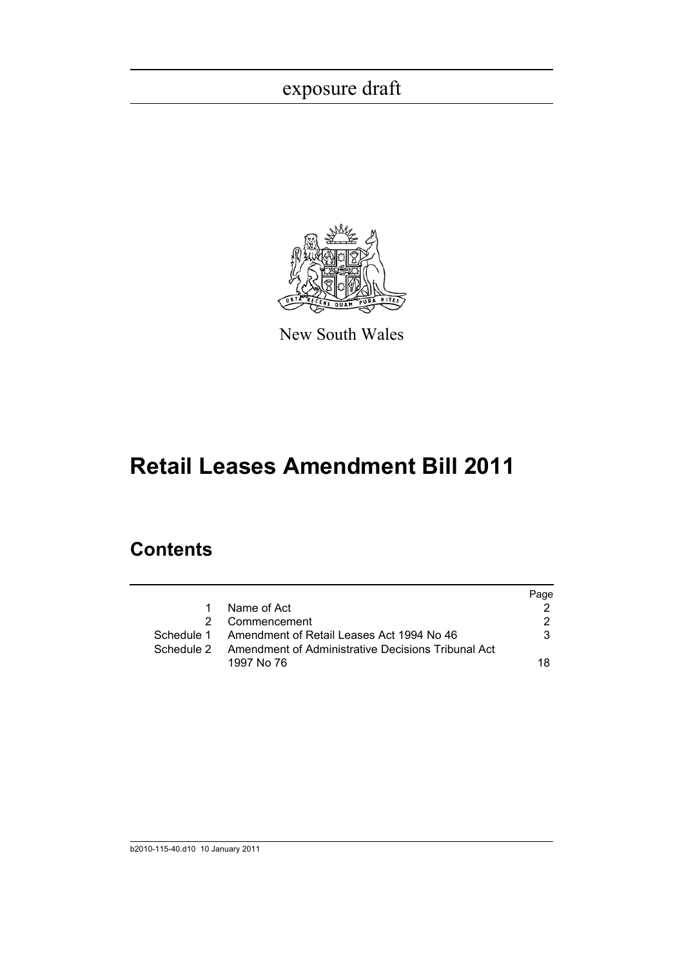

New South Wales

# **Retail Leases Amendment Bill 2011**

### **Contents**

|   |                                                               | Page |
|---|---------------------------------------------------------------|------|
| 1 | Name of Act                                                   |      |
|   | Commencement                                                  | 2    |
|   | Schedule 1 Amendment of Retail Leases Act 1994 No 46          | 3    |
|   | Schedule 2 Amendment of Administrative Decisions Tribunal Act |      |
|   | 1997 No 76                                                    | 18.  |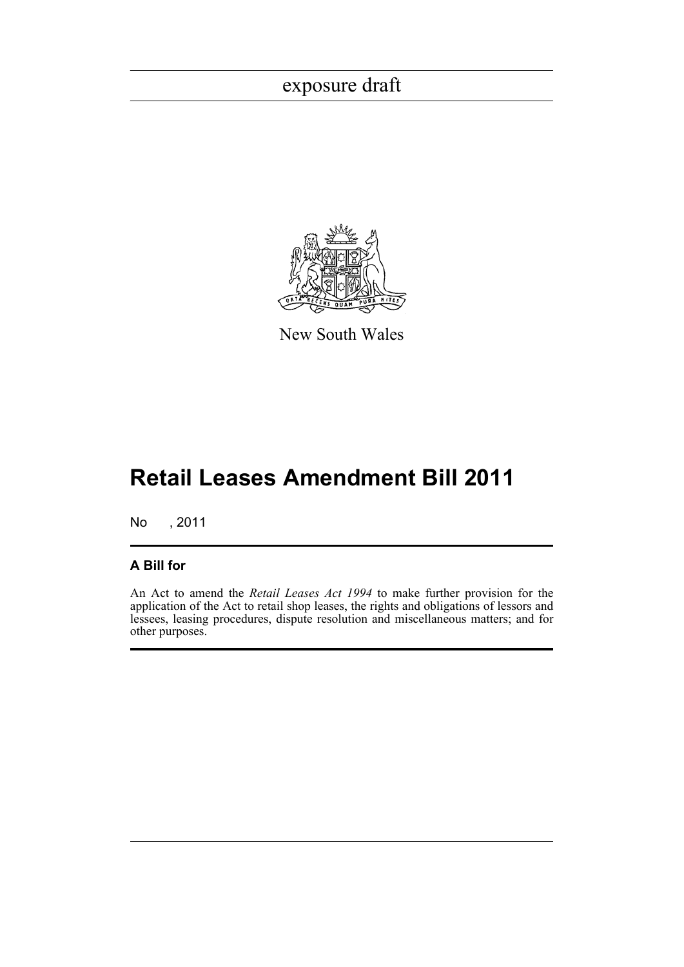

New South Wales

# **Retail Leases Amendment Bill 2011**

No , 2011

#### **A Bill for**

An Act to amend the *Retail Leases Act 1994* to make further provision for the application of the Act to retail shop leases, the rights and obligations of lessors and lessees, leasing procedures, dispute resolution and miscellaneous matters; and for other purposes.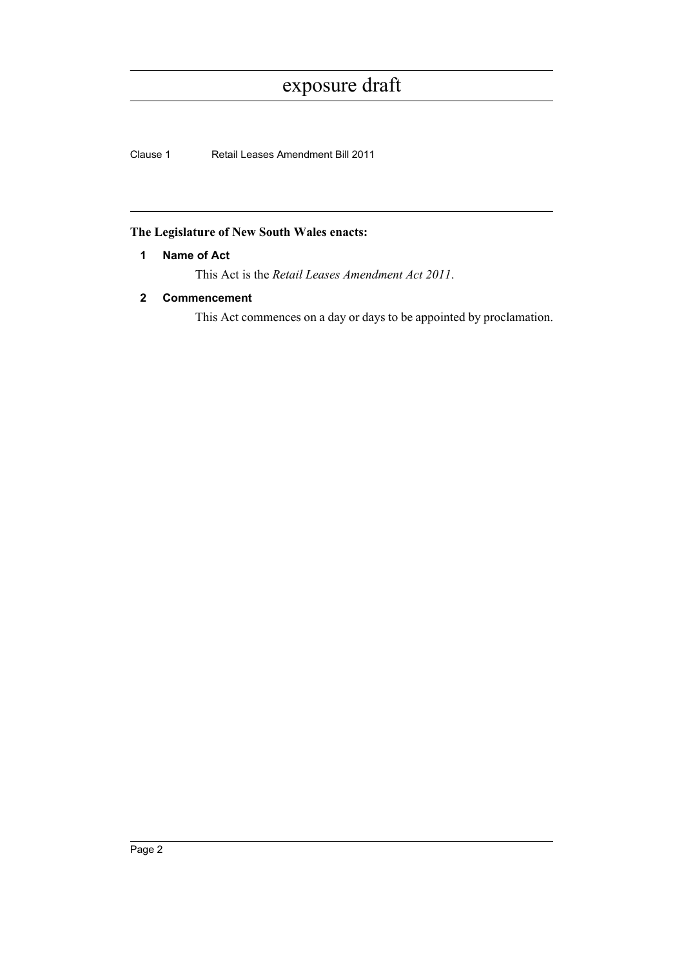Clause 1 Retail Leases Amendment Bill 2011

#### <span id="page-9-0"></span>**The Legislature of New South Wales enacts:**

#### **1 Name of Act**

This Act is the *Retail Leases Amendment Act 2011*.

#### <span id="page-9-1"></span>**2 Commencement**

This Act commences on a day or days to be appointed by proclamation.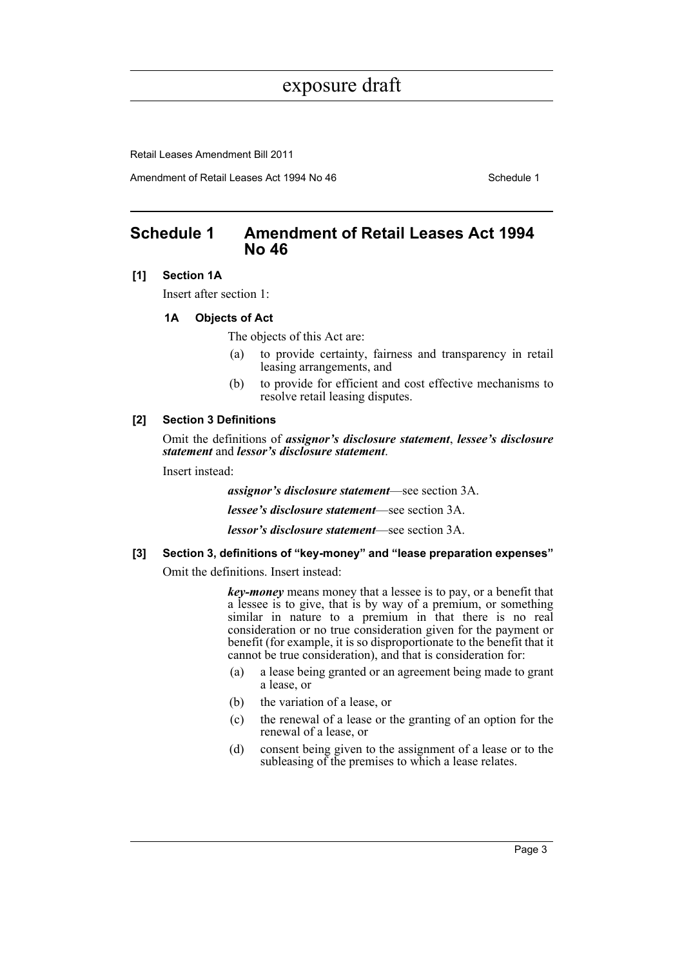Retail Leases Amendment Bill 2011

Amendment of Retail Leases Act 1994 No 46 Schedule 1

### <span id="page-10-0"></span>**Schedule 1 Amendment of Retail Leases Act 1994 No 46**

#### **[1] Section 1A**

Insert after section 1:

#### **1A Objects of Act**

The objects of this Act are:

- (a) to provide certainty, fairness and transparency in retail leasing arrangements, and
- (b) to provide for efficient and cost effective mechanisms to resolve retail leasing disputes.

#### **[2] Section 3 Definitions**

Omit the definitions of *assignor's disclosure statement*, *lessee's disclosure statement* and *lessor's disclosure statement*.

Insert instead:

*assignor's disclosure statement*—see section 3A.

*lessee's disclosure statement*—see section 3A.

*lessor's disclosure statement*—see section 3A.

#### **[3] Section 3, definitions of "key-money" and "lease preparation expenses"**

Omit the definitions. Insert instead:

*key-money* means money that a lessee is to pay, or a benefit that a lessee is to give, that is by way of a premium, or something similar in nature to a premium in that there is no real consideration or no true consideration given for the payment or benefit (for example, it is so disproportionate to the benefit that it cannot be true consideration), and that is consideration for:

- (a) a lease being granted or an agreement being made to grant a lease, or
- (b) the variation of a lease, or
- (c) the renewal of a lease or the granting of an option for the renewal of a lease, or
- (d) consent being given to the assignment of a lease or to the subleasing of the premises to which a lease relates.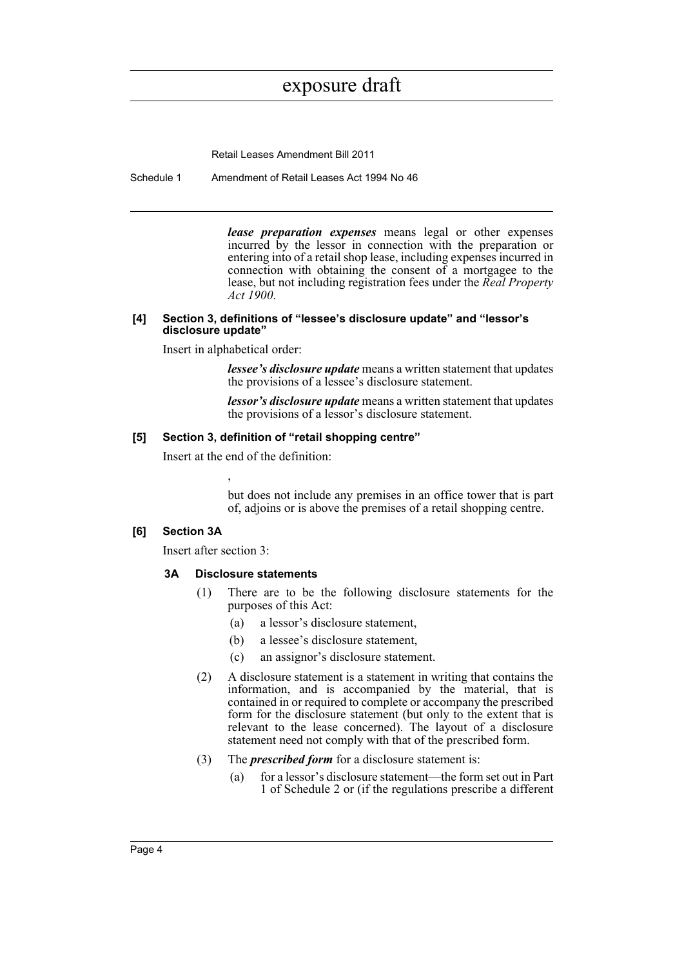Retail Leases Amendment Bill 2011

Schedule 1 Amendment of Retail Leases Act 1994 No 46

*lease preparation expenses* means legal or other expenses incurred by the lessor in connection with the preparation or entering into of a retail shop lease, including expenses incurred in connection with obtaining the consent of a mortgagee to the lease, but not including registration fees under the *Real Property Act 1900*.

#### **[4] Section 3, definitions of "lessee's disclosure update" and "lessor's disclosure update"**

Insert in alphabetical order:

*lessee's disclosure update* means a written statement that updates the provisions of a lessee's disclosure statement.

*lessor's disclosure update* means a written statement that updates the provisions of a lessor's disclosure statement.

#### **[5] Section 3, definition of "retail shopping centre"**

Insert at the end of the definition:

,

but does not include any premises in an office tower that is part of, adjoins or is above the premises of a retail shopping centre.

#### **[6] Section 3A**

Insert after section 3:

#### **3A Disclosure statements**

- (1) There are to be the following disclosure statements for the purposes of this Act:
	- (a) a lessor's disclosure statement,
	- (b) a lessee's disclosure statement,
	- (c) an assignor's disclosure statement.
- (2) A disclosure statement is a statement in writing that contains the information, and is accompanied by the material, that is contained in or required to complete or accompany the prescribed form for the disclosure statement (but only to the extent that is relevant to the lease concerned). The layout of a disclosure statement need not comply with that of the prescribed form.
- (3) The *prescribed form* for a disclosure statement is:
	- (a) for a lessor's disclosure statement—the form set out in Part 1 of Schedule 2 or (if the regulations prescribe a different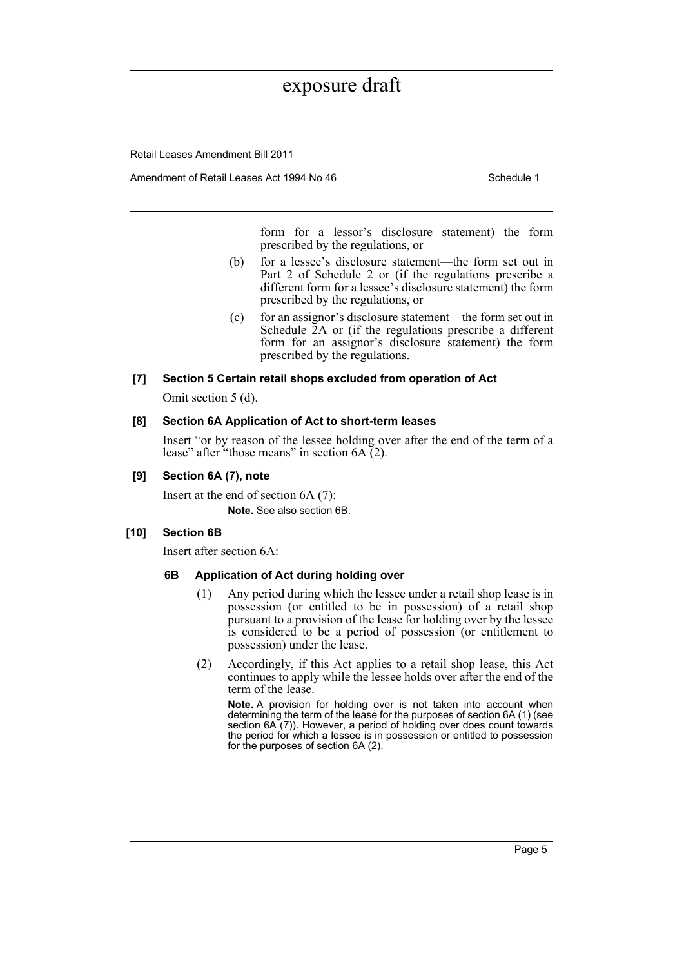Retail Leases Amendment Bill 2011

Amendment of Retail Leases Act 1994 No 46 Schedule 1

form for a lessor's disclosure statement) the form prescribed by the regulations, or

- (b) for a lessee's disclosure statement—the form set out in Part 2 of Schedule 2 or (if the regulations prescribe a different form for a lessee's disclosure statement) the form prescribed by the regulations, or
- (c) for an assignor's disclosure statement—the form set out in Schedule  $2A$  or (if the regulations prescribe a different form for an assignor's disclosure statement) the form prescribed by the regulations.

#### **[7] Section 5 Certain retail shops excluded from operation of Act**

Omit section 5 (d).

#### **[8] Section 6A Application of Act to short-term leases**

Insert "or by reason of the lessee holding over after the end of the term of a lease" after "those means" in section  $6A(2)$ .

#### **[9] Section 6A (7), note**

Insert at the end of section 6A (7): **Note.** See also section 6B.

#### **[10] Section 6B**

Insert after section 6A:

#### **6B Application of Act during holding over**

- (1) Any period during which the lessee under a retail shop lease is in possession (or entitled to be in possession) of a retail shop pursuant to a provision of the lease for holding over by the lessee is considered to be a period of possession (or entitlement to possession) under the lease.
- (2) Accordingly, if this Act applies to a retail shop lease, this Act continues to apply while the lessee holds over after the end of the term of the lease.

**Note.** A provision for holding over is not taken into account when determining the term of the lease for the purposes of section 6A (1) (see section 6A (7)). However, a period of holding over does count towards the period for which a lessee is in possession or entitled to possession for the purposes of section 6A (2).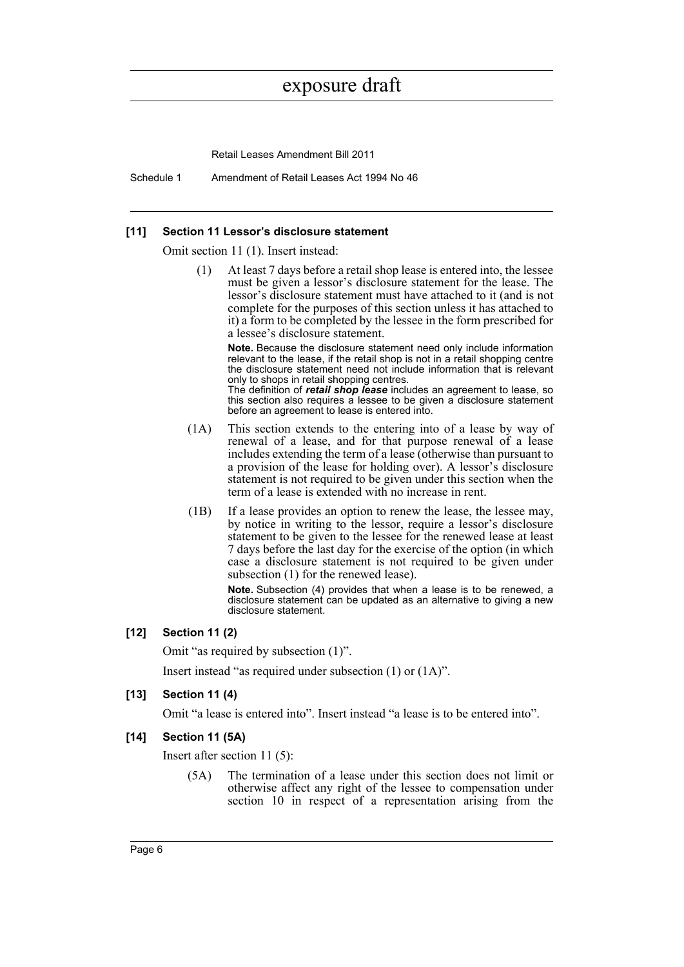Retail Leases Amendment Bill 2011

Schedule 1 Amendment of Retail Leases Act 1994 No 46

#### **[11] Section 11 Lessor's disclosure statement**

Omit section 11 (1). Insert instead:

(1) At least 7 days before a retail shop lease is entered into, the lessee must be given a lessor's disclosure statement for the lease. The lessor's disclosure statement must have attached to it (and is not complete for the purposes of this section unless it has attached to it) a form to be completed by the lessee in the form prescribed for a lessee's disclosure statement.

**Note.** Because the disclosure statement need only include information relevant to the lease, if the retail shop is not in a retail shopping centre the disclosure statement need not include information that is relevant only to shops in retail shopping centres.

The definition of *retail shop lease* includes an agreement to lease, so this section also requires a lessee to be given a disclosure statement before an agreement to lease is entered into.

- (1A) This section extends to the entering into of a lease by way of renewal of a lease, and for that purpose renewal of a lease includes extending the term of a lease (otherwise than pursuant to a provision of the lease for holding over). A lessor's disclosure statement is not required to be given under this section when the term of a lease is extended with no increase in rent.
- (1B) If a lease provides an option to renew the lease, the lessee may, by notice in writing to the lessor, require a lessor's disclosure statement to be given to the lessee for the renewed lease at least 7 days before the last day for the exercise of the option (in which case a disclosure statement is not required to be given under subsection (1) for the renewed lease).

**Note.** Subsection (4) provides that when a lease is to be renewed, a disclosure statement can be updated as an alternative to giving a new disclosure statement.

#### **[12] Section 11 (2)**

Omit "as required by subsection (1)".

Insert instead "as required under subsection (1) or (1A)".

#### **[13] Section 11 (4)**

Omit "a lease is entered into". Insert instead "a lease is to be entered into".

#### **[14] Section 11 (5A)**

Insert after section 11 (5):

(5A) The termination of a lease under this section does not limit or otherwise affect any right of the lessee to compensation under section 10 in respect of a representation arising from the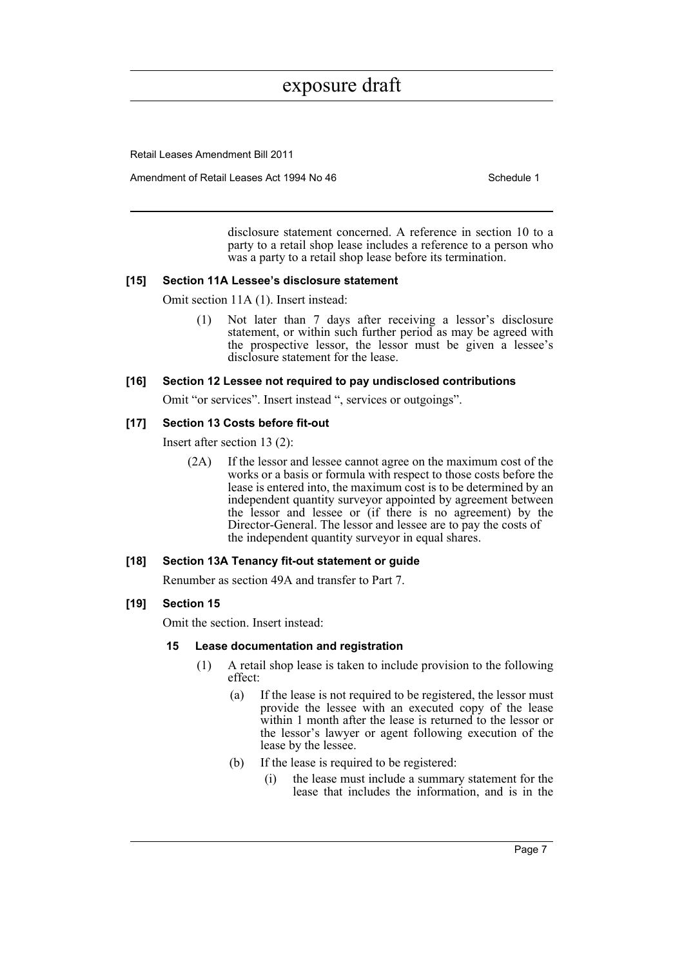Retail Leases Amendment Bill 2011

Amendment of Retail Leases Act 1994 No 46 Schedule 1

disclosure statement concerned. A reference in section 10 to a party to a retail shop lease includes a reference to a person who was a party to a retail shop lease before its termination.

#### **[15] Section 11A Lessee's disclosure statement**

Omit section 11A (1). Insert instead:

(1) Not later than 7 days after receiving a lessor's disclosure statement, or within such further period as may be agreed with the prospective lessor, the lessor must be given a lessee's disclosure statement for the lease.

**[16] Section 12 Lessee not required to pay undisclosed contributions**

Omit "or services". Insert instead ", services or outgoings".

#### **[17] Section 13 Costs before fit-out**

Insert after section 13 (2):

(2A) If the lessor and lessee cannot agree on the maximum cost of the works or a basis or formula with respect to those costs before the lease is entered into, the maximum cost is to be determined by an independent quantity surveyor appointed by agreement between the lessor and lessee or (if there is no agreement) by the Director-General. The lessor and lessee are to pay the costs of the independent quantity surveyor in equal shares.

#### **[18] Section 13A Tenancy fit-out statement or guide**

Renumber as section 49A and transfer to Part 7.

#### **[19] Section 15**

Omit the section. Insert instead:

#### **15 Lease documentation and registration**

- (1) A retail shop lease is taken to include provision to the following effect:
	- (a) If the lease is not required to be registered, the lessor must provide the lessee with an executed copy of the lease within 1 month after the lease is returned to the lessor or the lessor's lawyer or agent following execution of the lease by the lessee.
	- (b) If the lease is required to be registered:
		- (i) the lease must include a summary statement for the lease that includes the information, and is in the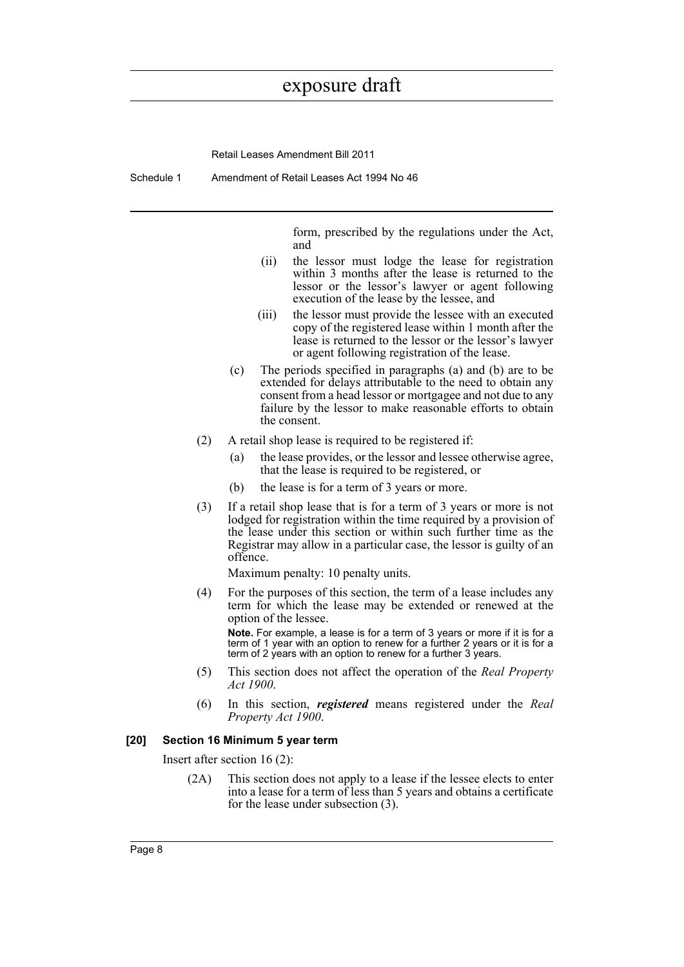Retail Leases Amendment Bill 2011

Schedule 1 Amendment of Retail Leases Act 1994 No 46

form, prescribed by the regulations under the Act, and

- (ii) the lessor must lodge the lease for registration within 3 months after the lease is returned to the lessor or the lessor's lawyer or agent following execution of the lease by the lessee, and
- (iii) the lessor must provide the lessee with an executed copy of the registered lease within 1 month after the lease is returned to the lessor or the lessor's lawyer or agent following registration of the lease.
- (c) The periods specified in paragraphs (a) and (b) are to be extended for delays attributable to the need to obtain any consent from a head lessor or mortgagee and not due to any failure by the lessor to make reasonable efforts to obtain the consent.
- (2) A retail shop lease is required to be registered if:
	- (a) the lease provides, or the lessor and lessee otherwise agree, that the lease is required to be registered, or
	- (b) the lease is for a term of 3 years or more.
- (3) If a retail shop lease that is for a term of 3 years or more is not lodged for registration within the time required by a provision of the lease under this section or within such further time as the Registrar may allow in a particular case, the lessor is guilty of an offence.

Maximum penalty: 10 penalty units.

(4) For the purposes of this section, the term of a lease includes any term for which the lease may be extended or renewed at the option of the lessee.

**Note.** For example, a lease is for a term of 3 years or more if it is for a term of 1 year with an option to renew for a further 2 years or it is for a term of 2 years with an option to renew for a further 3 years.

- (5) This section does not affect the operation of the *Real Property Act 1900*.
- (6) In this section, *registered* means registered under the *Real Property Act 1900*.

#### **[20] Section 16 Minimum 5 year term**

Insert after section 16 (2):

(2A) This section does not apply to a lease if the lessee elects to enter into a lease for a term of less than 5 years and obtains a certificate for the lease under subsection (3).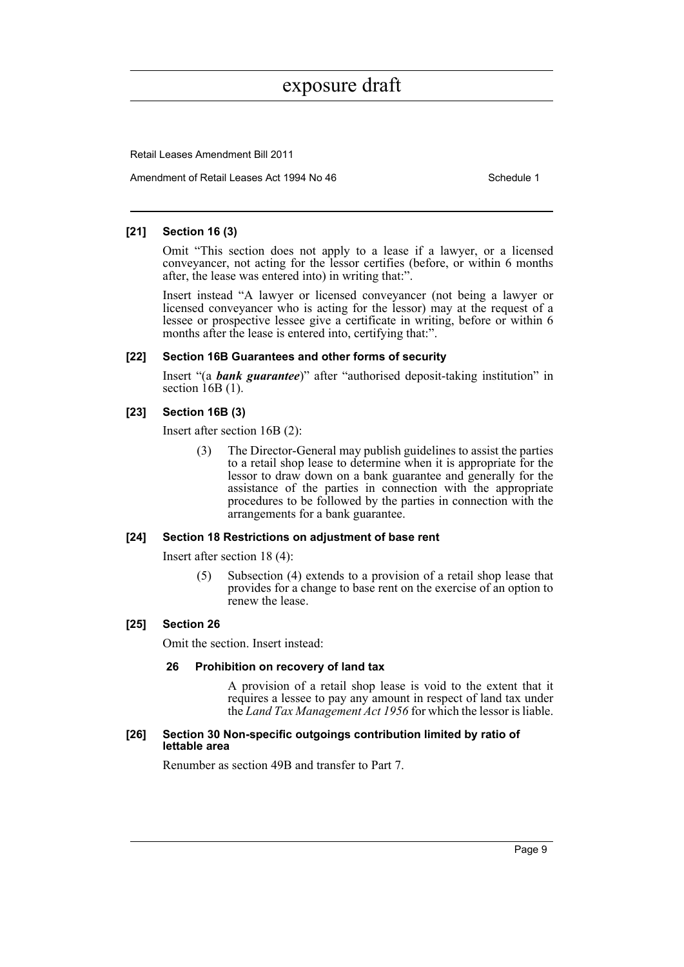Retail Leases Amendment Bill 2011

Amendment of Retail Leases Act 1994 No 46 Schedule 1

#### **[21] Section 16 (3)**

Omit "This section does not apply to a lease if a lawyer, or a licensed conveyancer, not acting for the lessor certifies (before, or within 6 months after, the lease was entered into) in writing that:".

Insert instead "A lawyer or licensed conveyancer (not being a lawyer or licensed conveyancer who is acting for the lessor) may at the request of a lessee or prospective lessee give a certificate in writing, before or within 6 months after the lease is entered into, certifying that:".

#### **[22] Section 16B Guarantees and other forms of security**

Insert "(a *bank guarantee*)" after "authorised deposit-taking institution" in section 16B (1).

#### **[23] Section 16B (3)**

Insert after section 16B (2):

The Director-General may publish guidelines to assist the parties to a retail shop lease to determine when it is appropriate for the lessor to draw down on a bank guarantee and generally for the assistance of the parties in connection with the appropriate procedures to be followed by the parties in connection with the arrangements for a bank guarantee.

#### **[24] Section 18 Restrictions on adjustment of base rent**

Insert after section 18 (4):

(5) Subsection (4) extends to a provision of a retail shop lease that provides for a change to base rent on the exercise of an option to renew the lease.

#### **[25] Section 26**

Omit the section. Insert instead:

#### **26 Prohibition on recovery of land tax**

A provision of a retail shop lease is void to the extent that it requires a lessee to pay any amount in respect of land tax under the *Land Tax Management Act 1956* for which the lessor is liable.

#### **[26] Section 30 Non-specific outgoings contribution limited by ratio of lettable area**

Renumber as section 49B and transfer to Part 7.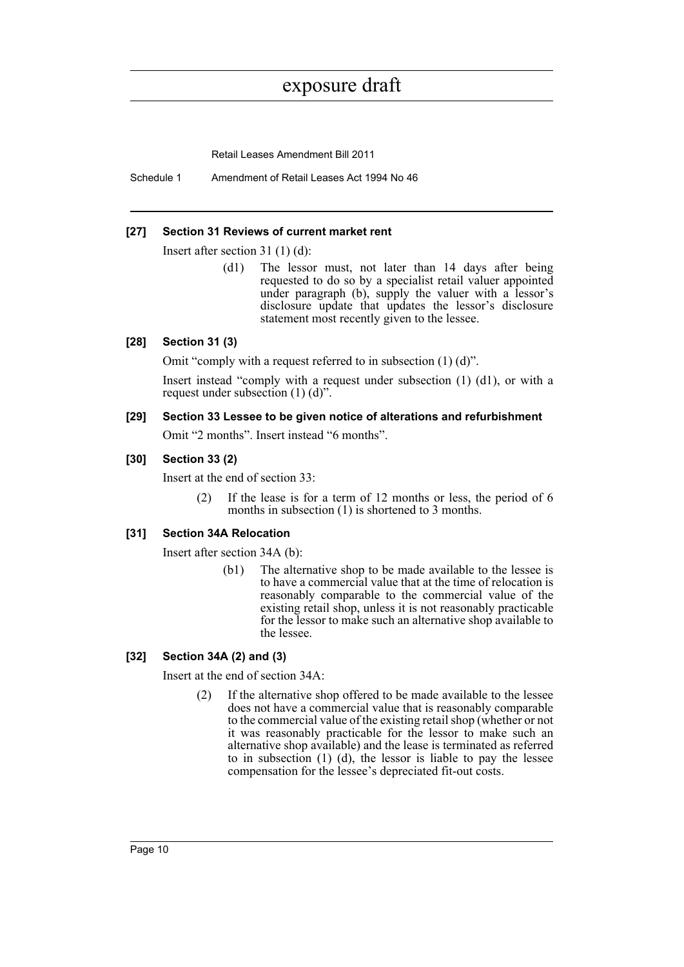Retail Leases Amendment Bill 2011

Schedule 1 Amendment of Retail Leases Act 1994 No 46

#### **[27] Section 31 Reviews of current market rent**

Insert after section 31 (1) (d):

(d1) The lessor must, not later than 14 days after being requested to do so by a specialist retail valuer appointed under paragraph (b), supply the valuer with a lessor's disclosure update that updates the lessor's disclosure statement most recently given to the lessee.

#### **[28] Section 31 (3)**

Omit "comply with a request referred to in subsection (1) (d)".

Insert instead "comply with a request under subsection (1) (d1), or with a request under subsection (1) (d)".

#### **[29] Section 33 Lessee to be given notice of alterations and refurbishment**

Omit "2 months". Insert instead "6 months".

#### **[30] Section 33 (2)**

Insert at the end of section 33:

(2) If the lease is for a term of 12 months or less, the period of 6 months in subsection (1) is shortened to 3 months.

#### **[31] Section 34A Relocation**

Insert after section 34A (b):

(b1) The alternative shop to be made available to the lessee is to have a commercial value that at the time of relocation is reasonably comparable to the commercial value of the existing retail shop, unless it is not reasonably practicable for the lessor to make such an alternative shop available to the lessee.

#### **[32] Section 34A (2) and (3)**

Insert at the end of section 34A:

(2) If the alternative shop offered to be made available to the lessee does not have a commercial value that is reasonably comparable to the commercial value of the existing retail shop (whether or not it was reasonably practicable for the lessor to make such an alternative shop available) and the lease is terminated as referred to in subsection (1) (d), the lessor is liable to pay the lessee compensation for the lessee's depreciated fit-out costs.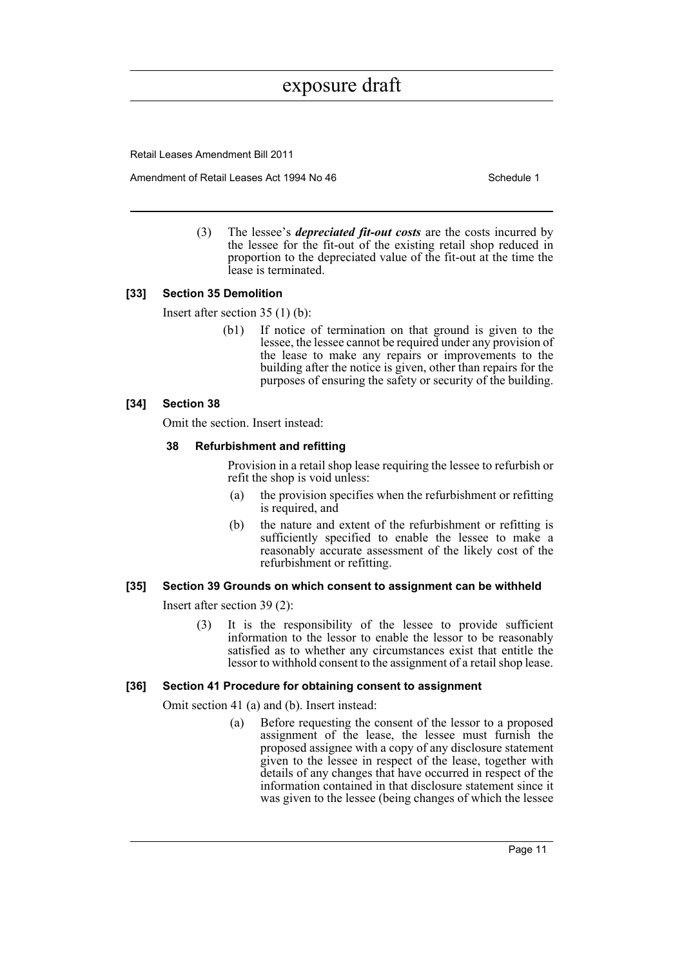Retail Leases Amendment Bill 2011

Amendment of Retail Leases Act 1994 No 46 Schedule 1

(3) The lessee's *depreciated fit-out costs* are the costs incurred by the lessee for the fit-out of the existing retail shop reduced in proportion to the depreciated value of the fit-out at the time the lease is terminated.

#### **[33] Section 35 Demolition**

Insert after section 35 (1) (b):

(b1) If notice of termination on that ground is given to the lessee, the lessee cannot be required under any provision of the lease to make any repairs or improvements to the building after the notice is given, other than repairs for the purposes of ensuring the safety or security of the building.

#### **[34] Section 38**

Omit the section. Insert instead:

#### **38 Refurbishment and refitting**

Provision in a retail shop lease requiring the lessee to refurbish or refit the shop is void unless:

- (a) the provision specifies when the refurbishment or refitting is required, and
- (b) the nature and extent of the refurbishment or refitting is sufficiently specified to enable the lessee to make a reasonably accurate assessment of the likely cost of the refurbishment or refitting.

#### **[35] Section 39 Grounds on which consent to assignment can be withheld**

Insert after section 39 (2):

(3) It is the responsibility of the lessee to provide sufficient information to the lessor to enable the lessor to be reasonably satisfied as to whether any circumstances exist that entitle the lessor to withhold consent to the assignment of a retail shop lease.

#### **[36] Section 41 Procedure for obtaining consent to assignment**

Omit section 41 (a) and (b). Insert instead:

(a) Before requesting the consent of the lessor to a proposed assignment of the lease, the lessee must furnish the proposed assignee with a copy of any disclosure statement given to the lessee in respect of the lease, together with details of any changes that have occurred in respect of the information contained in that disclosure statement since it was given to the lessee (being changes of which the lessee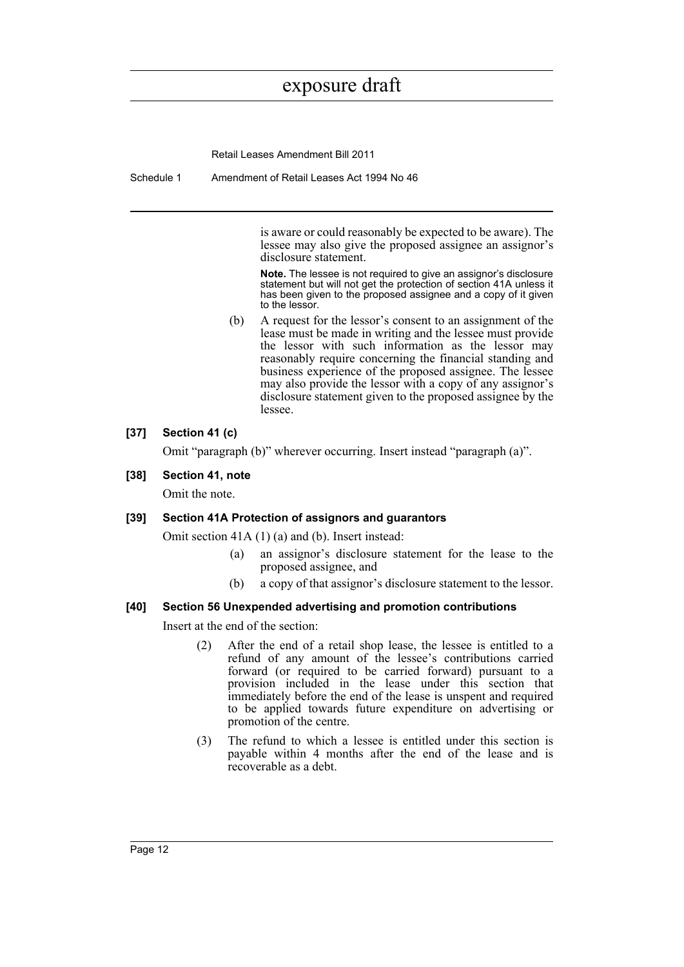Retail Leases Amendment Bill 2011

Schedule 1 Amendment of Retail Leases Act 1994 No 46

is aware or could reasonably be expected to be aware). The lessee may also give the proposed assignee an assignor's disclosure statement.

**Note.** The lessee is not required to give an assignor's disclosure statement but will not get the protection of section 41A unless it has been given to the proposed assignee and a copy of it given to the lessor.

(b) A request for the lessor's consent to an assignment of the lease must be made in writing and the lessee must provide the lessor with such information as the lessor may reasonably require concerning the financial standing and business experience of the proposed assignee. The lessee may also provide the lessor with a copy of any assignor's disclosure statement given to the proposed assignee by the lessee.

#### **[37] Section 41 (c)**

Omit "paragraph (b)" wherever occurring. Insert instead "paragraph (a)".

#### **[38] Section 41, note**

Omit the note.

#### **[39] Section 41A Protection of assignors and guarantors**

Omit section 41A (1) (a) and (b). Insert instead:

- (a) an assignor's disclosure statement for the lease to the proposed assignee, and
- (b) a copy of that assignor's disclosure statement to the lessor.

#### **[40] Section 56 Unexpended advertising and promotion contributions**

Insert at the end of the section:

- (2) After the end of a retail shop lease, the lessee is entitled to a refund of any amount of the lessee's contributions carried forward (or required to be carried forward) pursuant to a provision included in the lease under this section that immediately before the end of the lease is unspent and required to be applied towards future expenditure on advertising or promotion of the centre.
- (3) The refund to which a lessee is entitled under this section is payable within 4 months after the end of the lease and is recoverable as a debt.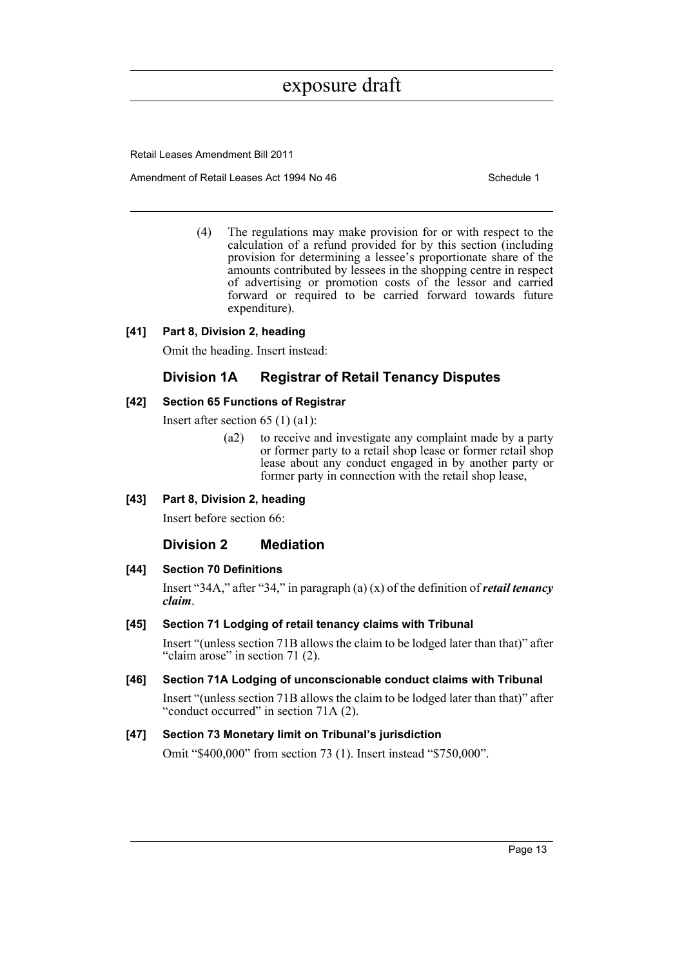Retail Leases Amendment Bill 2011

Amendment of Retail Leases Act 1994 No 46 Schedule 1

(4) The regulations may make provision for or with respect to the calculation of a refund provided for by this section (including provision for determining a lessee's proportionate share of the amounts contributed by lessees in the shopping centre in respect of advertising or promotion costs of the lessor and carried forward or required to be carried forward towards future expenditure).

#### **[41] Part 8, Division 2, heading**

Omit the heading. Insert instead:

#### **Division 1A Registrar of Retail Tenancy Disputes**

#### **[42] Section 65 Functions of Registrar**

Insert after section 65 (1) (a1):

- (a2) to receive and investigate any complaint made by a party or former party to a retail shop lease or former retail shop lease about any conduct engaged in by another party or former party in connection with the retail shop lease,
- **[43] Part 8, Division 2, heading**

Insert before section 66:

#### **Division 2 Mediation**

#### **[44] Section 70 Definitions**

Insert "34A," after "34," in paragraph (a) (x) of the definition of *retail tenancy claim*.

#### **[45] Section 71 Lodging of retail tenancy claims with Tribunal**

Insert "(unless section 71B allows the claim to be lodged later than that)" after "claim arose" in section 71 (2).

#### **[46] Section 71A Lodging of unconscionable conduct claims with Tribunal**

Insert "(unless section 71B allows the claim to be lodged later than that)" after "conduct occurred" in section 71A (2).

#### **[47] Section 73 Monetary limit on Tribunal's jurisdiction**

Omit "\$400,000" from section 73 (1). Insert instead "\$750,000".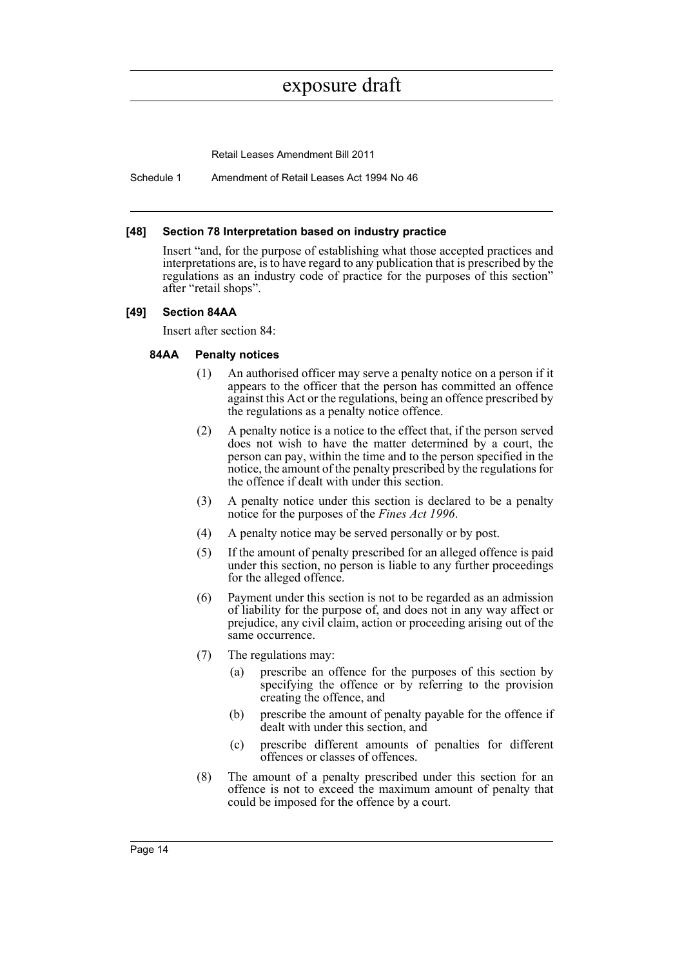Retail Leases Amendment Bill 2011

Schedule 1 Amendment of Retail Leases Act 1994 No 46

#### **[48] Section 78 Interpretation based on industry practice**

Insert "and, for the purpose of establishing what those accepted practices and interpretations are, is to have regard to any publication that is prescribed by the regulations as an industry code of practice for the purposes of this section" after "retail shops".

#### **[49] Section 84AA**

Insert after section 84:

#### **84AA Penalty notices**

- (1) An authorised officer may serve a penalty notice on a person if it appears to the officer that the person has committed an offence against this Act or the regulations, being an offence prescribed by the regulations as a penalty notice offence.
- (2) A penalty notice is a notice to the effect that, if the person served does not wish to have the matter determined by a court, the person can pay, within the time and to the person specified in the notice, the amount of the penalty prescribed by the regulations for the offence if dealt with under this section.
- (3) A penalty notice under this section is declared to be a penalty notice for the purposes of the *Fines Act 1996*.
- (4) A penalty notice may be served personally or by post.
- (5) If the amount of penalty prescribed for an alleged offence is paid under this section, no person is liable to any further proceedings for the alleged offence.
- (6) Payment under this section is not to be regarded as an admission of liability for the purpose of, and does not in any way affect or prejudice, any civil claim, action or proceeding arising out of the same occurrence.
- (7) The regulations may:
	- (a) prescribe an offence for the purposes of this section by specifying the offence or by referring to the provision creating the offence, and
	- (b) prescribe the amount of penalty payable for the offence if dealt with under this section, and
	- (c) prescribe different amounts of penalties for different offences or classes of offences.
- (8) The amount of a penalty prescribed under this section for an offence is not to exceed the maximum amount of penalty that could be imposed for the offence by a court.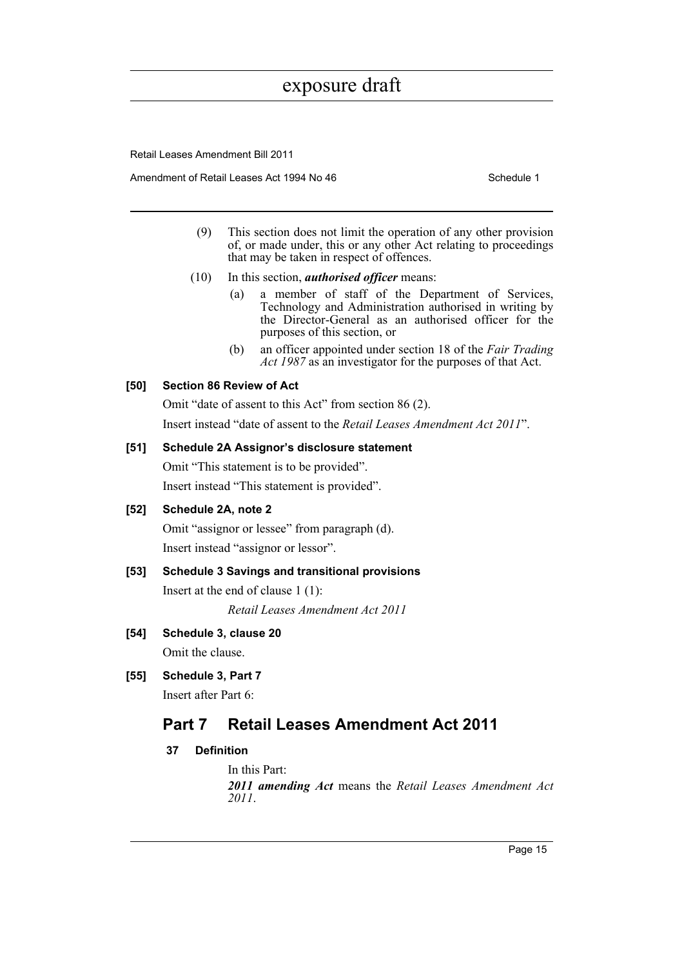Retail Leases Amendment Bill 2011

Amendment of Retail Leases Act 1994 No 46 Schedule 1

- (9) This section does not limit the operation of any other provision of, or made under, this or any other Act relating to proceedings that may be taken in respect of offences.
- (10) In this section, *authorised officer* means:
	- (a) a member of staff of the Department of Services, Technology and Administration authorised in writing by the Director-General as an authorised officer for the purposes of this section, or
	- (b) an officer appointed under section 18 of the *Fair Trading Act 1987* as an investigator for the purposes of that Act.

#### **[50] Section 86 Review of Act**

Omit "date of assent to this Act" from section 86 (2). Insert instead "date of assent to the *Retail Leases Amendment Act 2011*".

#### **[51] Schedule 2A Assignor's disclosure statement**

Omit "This statement is to be provided". Insert instead "This statement is provided".

#### **[52] Schedule 2A, note 2**

Omit "assignor or lessee" from paragraph (d). Insert instead "assignor or lessor".

#### **[53] Schedule 3 Savings and transitional provisions**

Insert at the end of clause 1 (1): *Retail Leases Amendment Act 2011*

**[54] Schedule 3, clause 20**

Omit the clause.

**[55] Schedule 3, Part 7**

Insert after Part 6:

### **Part 7 Retail Leases Amendment Act 2011**

#### **37 Definition**

In this Part: *2011 amending Act* means the *Retail Leases Amendment Act 2011*.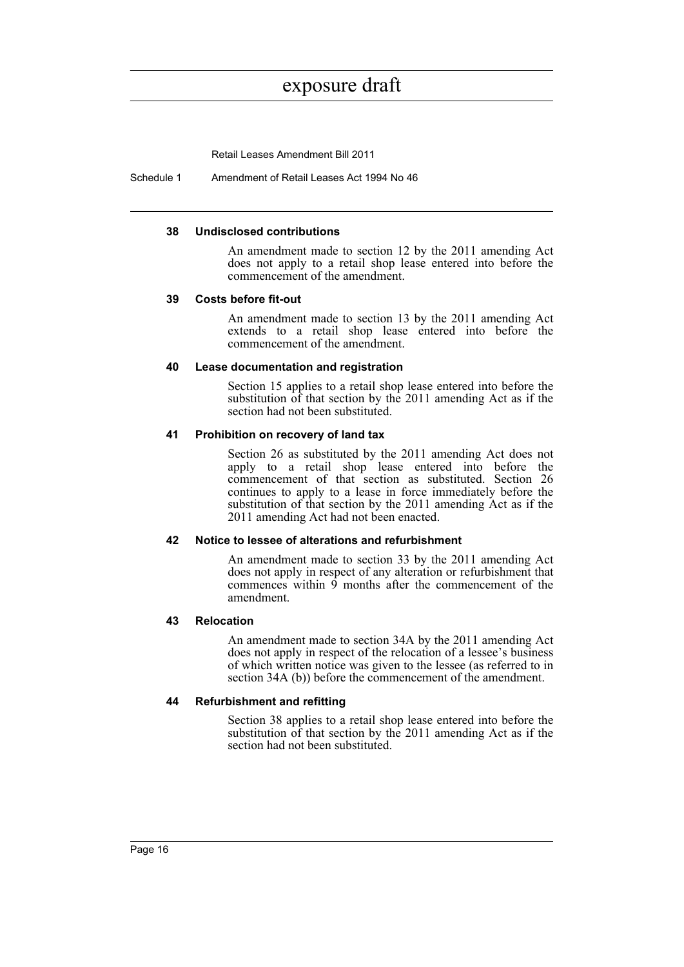Retail Leases Amendment Bill 2011

Schedule 1 Amendment of Retail Leases Act 1994 No 46

#### **38 Undisclosed contributions**

An amendment made to section 12 by the 2011 amending Act does not apply to a retail shop lease entered into before the commencement of the amendment.

#### **39 Costs before fit-out**

An amendment made to section 13 by the 2011 amending Act extends to a retail shop lease entered into before the commencement of the amendment.

#### **40 Lease documentation and registration**

Section 15 applies to a retail shop lease entered into before the substitution of that section by the 2011 amending Act as if the section had not been substituted.

#### **41 Prohibition on recovery of land tax**

Section 26 as substituted by the 2011 amending Act does not apply to a retail shop lease entered into before the commencement of that section as substituted. Section 26 continues to apply to a lease in force immediately before the substitution of that section by the 2011 amending Act as if the 2011 amending Act had not been enacted.

#### **42 Notice to lessee of alterations and refurbishment**

An amendment made to section 33 by the 2011 amending Act does not apply in respect of any alteration or refurbishment that commences within 9 months after the commencement of the amendment.

#### **43 Relocation**

An amendment made to section 34A by the 2011 amending Act does not apply in respect of the relocation of a lessee's business of which written notice was given to the lessee (as referred to in section 34A (b)) before the commencement of the amendment.

#### **44 Refurbishment and refitting**

Section 38 applies to a retail shop lease entered into before the substitution of that section by the 2011 amending Act as if the section had not been substituted.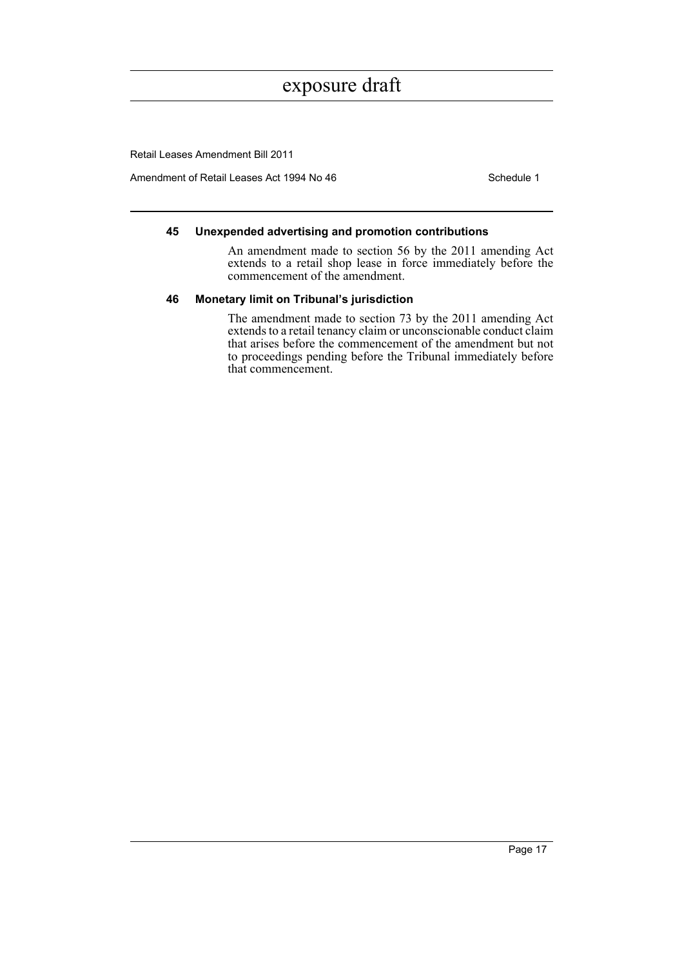Retail Leases Amendment Bill 2011

Amendment of Retail Leases Act 1994 No 46 Schedule 1

#### **45 Unexpended advertising and promotion contributions**

An amendment made to section 56 by the 2011 amending Act extends to a retail shop lease in force immediately before the commencement of the amendment.

#### **46 Monetary limit on Tribunal's jurisdiction**

The amendment made to section 73 by the 2011 amending Act extends to a retail tenancy claim or unconscionable conduct claim that arises before the commencement of the amendment but not to proceedings pending before the Tribunal immediately before that commencement.